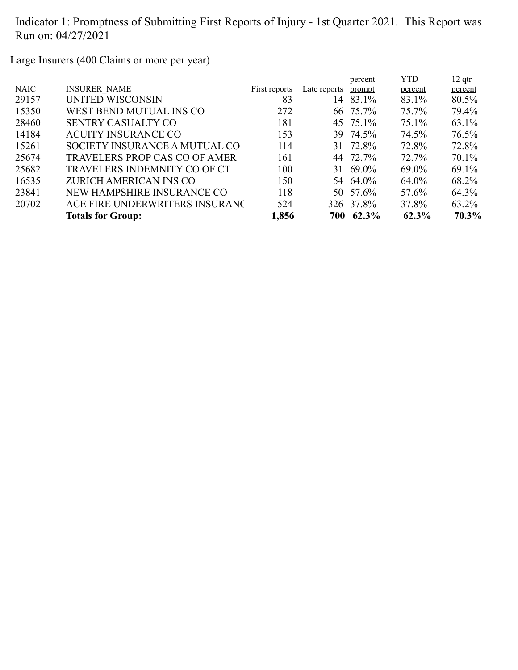Large Insurers (400 Claims or more per year)

|             |                                      |               |              | percent   | <b>YTD</b> | $12$ qtr |
|-------------|--------------------------------------|---------------|--------------|-----------|------------|----------|
| <b>NAIC</b> | <b>INSURER NAME</b>                  | First reports | Late reports | prompt    | percent    | percent  |
| 29157       | UNITED WISCONSIN                     | 83            | 14           | 83.1%     | 83.1%      | 80.5%    |
| 15350       | WEST BEND MUTUAL INS CO              | 272           |              | 66 75.7%  | 75.7%      | 79.4%    |
| 28460       | <b>SENTRY CASUALTY CO</b>            | 181           |              | 45 75.1%  | $75.1\%$   | 63.1%    |
| 14184       | <b>ACUITY INSURANCE CO</b>           | 153           |              | 39 74.5%  | 74.5%      | 76.5%    |
| 15261       | SOCIETY INSURANCE A MUTUAL CO        | 114           |              | 31 72.8%  | 72.8%      | 72.8%    |
| 25674       | <b>TRAVELERS PROP CAS CO OF AMER</b> | 161           |              | 44 72.7%  | 72.7%      | 70.1%    |
| 25682       | <b>TRAVELERS INDEMNITY CO OF CT</b>  | 100           |              | 31 69.0%  | 69.0%      | 69.1%    |
| 16535       | ZURICH AMERICAN INS CO               | 150           |              | 54 64.0%  | 64.0%      | 68.2%    |
| 23841       | NEW HAMPSHIRE INSURANCE CO           | 118           |              | 50 57.6%  | 57.6%      | 64.3%    |
| 20702       | ACE FIRE UNDERWRITERS INSURANC       | 524           |              | 326 37.8% | 37.8%      | 63.2%    |
|             | <b>Totals for Group:</b>             | 1,856         |              | 700 62.3% | 62.3%      | 70.3%    |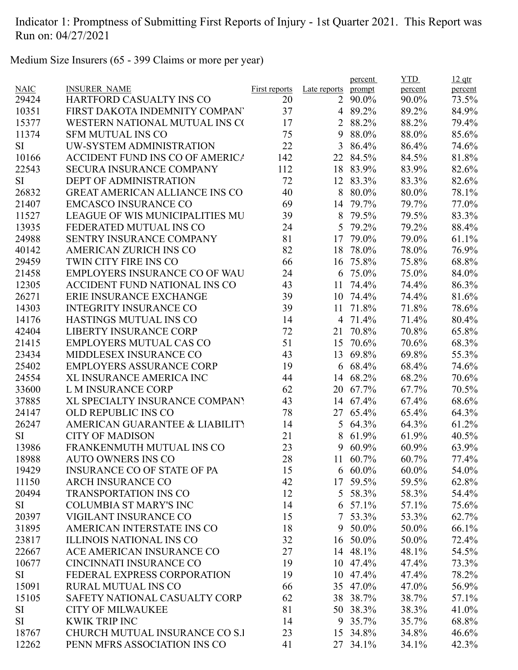Medium Size Insurers (65 - 399 Claims or more per year)

|             |                                        |                      |              | percent              | <b>YTD</b>     | $12$ qtr       |
|-------------|----------------------------------------|----------------------|--------------|----------------------|----------------|----------------|
| <b>NAIC</b> | <b>INSURER NAME</b>                    | <b>First reports</b> | Late reports | prompt               | percent        | percent        |
| 29424       | <b>HARTFORD CASUALTY INS CO</b>        | 20                   | 2            | 90.0%                | 90.0%          | 73.5%          |
| 10351       | FIRST DAKOTA INDEMNITY COMPAN          | 37                   |              | 4 89.2%              | 89.2%          | 84.9%          |
| 15377       | WESTERN NATIONAL MUTUAL INS CO         | 17                   |              | 2 88.2%              | 88.2%          | 79.4%          |
| 11374       | <b>SFM MUTUAL INS CO</b>               | 75                   | 9            | 88.0%                | 88.0%          | 85.6%          |
| SI          | UW-SYSTEM ADMINISTRATION               | 22                   | 3            | 86.4%                | 86.4%          | 74.6%          |
| 10166       | <b>ACCIDENT FUND INS CO OF AMERICA</b> | 142                  | 22           | 84.5%                | 84.5%          | 81.8%          |
| 22543       | <b>SECURA INSURANCE COMPANY</b>        | 112                  | 18           | 83.9%                | 83.9%          | 82.6%          |
| SI          | <b>DEPT OF ADMINISTRATION</b>          | 72                   | 12           | 83.3%                | 83.3%          | 82.6%          |
| 26832       | <b>GREAT AMERICAN ALLIANCE INS CO</b>  | 40                   | 8            | 80.0%                | 80.0%          | 78.1%          |
| 21407       | <b>EMCASCO INSURANCE CO</b>            | 69                   | 14           | 79.7%                | 79.7%          | 77.0%          |
| 11527       | <b>LEAGUE OF WIS MUNICIPALITIES MU</b> | 39                   | 8            | 79.5%                | 79.5%          | 83.3%          |
| 13935       | FEDERATED MUTUAL INS CO                | 24                   | 5            | 79.2%                | 79.2%          | 88.4%          |
| 24988       | SENTRY INSURANCE COMPANY               | 81                   | 17           | 79.0%                | 79.0%          | 61.1%          |
| 40142       | <b>AMERICAN ZURICH INS CO</b>          | 82                   | 18           | 78.0%                | 78.0%          | 76.9%          |
| 29459       | <b>TWIN CITY FIRE INS CO</b>           | 66                   | 16           | 75.8%                | 75.8%          | 68.8%          |
| 21458       | <b>EMPLOYERS INSURANCE CO OF WAU</b>   | 24                   |              | 6 75.0%              | 75.0%          | 84.0%          |
| 12305       | <b>ACCIDENT FUND NATIONAL INS CO</b>   | 43                   | 11           | 74.4%                | 74.4%          | 86.3%          |
| 26271       | ERIE INSURANCE EXCHANGE                | 39                   | 10           | 74.4%                | 74.4%          | 81.6%          |
| 14303       | <b>INTEGRITY INSURANCE CO</b>          | 39                   | 11           | 71.8%                | 71.8%          | 78.6%          |
| 14176       | <b>HASTINGS MUTUAL INS CO</b>          | 14                   | 4            | 71.4%                | 71.4%          | 80.4%          |
| 42404       | <b>LIBERTY INSURANCE CORP</b>          | 72                   | 21           | 70.8%                | 70.8%          | 65.8%          |
| 21415       | <b>EMPLOYERS MUTUAL CAS CO</b>         | 51                   | 15           | 70.6%                | 70.6%          | 68.3%          |
| 23434       | <b>MIDDLESEX INSURANCE CO</b>          | 43                   | 13           | 69.8%                | 69.8%          | 55.3%          |
| 25402       | <b>EMPLOYERS ASSURANCE CORP</b>        | 19                   | 6            | 68.4%                | 68.4%          | 74.6%          |
| 24554       | <b>XL INSURANCE AMERICA INC</b>        | 44                   |              | 14 68.2%             | 68.2%          | 70.6%          |
| 33600       | L M INSURANCE CORP                     | 62                   | 20           | 67.7%                | 67.7%          | 70.5%          |
| 37885       | XL SPECIALTY INSURANCE COMPANY         | 43                   | 14           | 67.4%                | 67.4%          | 68.6%          |
| 24147       | <b>OLD REPUBLIC INS CO</b>             | 78                   | 27           | 65.4%                | 65.4%          | 64.3%          |
| 26247       | AMERICAN GUARANTEE & LIABILITY         | 14                   | 5            | 64.3%                | 64.3%          | 61.2%          |
| SI          | <b>CITY OF MADISON</b>                 | 21                   | 8            | 61.9%                | 61.9%          | 40.5%          |
| 13986       | FRANKENMUTH MUTUAL INS CO              | 23                   | 9            | 60.9%                | 60.9%          | 63.9%          |
| 18988       | <b>AUTO OWNERS INS CO</b>              | 28                   | 11           | 60.7%                | 60.7%          | 77.4%          |
| 19429       | <b>INSURANCE CO OF STATE OF PA</b>     | 15                   |              | $6\,60.0\%$          | 60.0%          | 54.0%          |
| 11150       | <b>ARCH INSURANCE CO</b>               | 42                   |              | 17 59.5%             | 59.5%          | 62.8%          |
| 20494       | <b>TRANSPORTATION INS CO</b>           | 12                   |              | 5 58.3%              | 58.3%          | 54.4%          |
| SI          | <b>COLUMBIA ST MARY'S INC</b>          | 14                   |              | 6 57.1%              | 57.1%          | 75.6%          |
| 20397       | VIGILANT INSURANCE CO                  | 15                   |              | 7 53.3%              | 53.3%          | 62.7%          |
| 31895       | AMERICAN INTERSTATE INS CO             | 18                   |              | 9 50.0%              | 50.0%          | 66.1%          |
| 23817       | <b>ILLINOIS NATIONAL INS CO</b>        | 32                   |              | 16 50.0%             | 50.0%          | 72.4%          |
| 22667       | ACE AMERICAN INSURANCE CO              | 27                   |              | 14 48.1%             | 48.1%          | 54.5%          |
| 10677       | <b>CINCINNATI INSURANCE CO</b>         | 19                   |              | 10 47.4%             | 47.4%          | 73.3%          |
| SI          | FEDERAL EXPRESS CORPORATION            | 19                   |              | 10 47.4%             | 47.4%          | 78.2%          |
| 15091       | <b>RURAL MUTUAL INS CO</b>             | 66                   |              | 35 47.0%             | 47.0%          | 56.9%          |
|             | SAFETY NATIONAL CASUALTY CORP          |                      |              |                      |                |                |
| 15105       | <b>CITY OF MILWAUKEE</b>               | 62<br>81             |              | 38 38.7%<br>50 38.3% | 38.7%<br>38.3% | 57.1%<br>41.0% |
| SI          | <b>KWIK TRIP INC</b>                   |                      |              |                      |                |                |
| SI          | CHURCH MUTUAL INSURANCE CO S.I         | 14                   | 9            | 35.7%                | 35.7%          | 68.8%          |
| 18767       |                                        | 23                   |              | 15 34.8%             | 34.8%          | 46.6%          |
| 12262       | PENN MFRS ASSOCIATION INS CO           | 41                   |              | 27 34.1%             | 34.1%          | 42.3%          |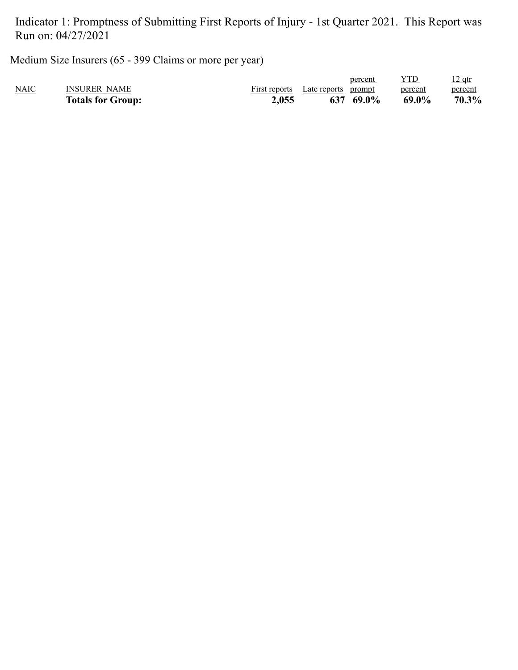Medium Size Insurers (65 - 399 Claims or more per year)

|      | <b>Totals for Group:</b> | 2,055         | 637 69.0%           | 69.0%   | 70.3%          |
|------|--------------------------|---------------|---------------------|---------|----------------|
| NAIC | <b>INSURER NAME</b>      | First reports | Late reports prompt | percent | percent        |
|      |                          |               | percent             |         | <u> 12 qtr</u> |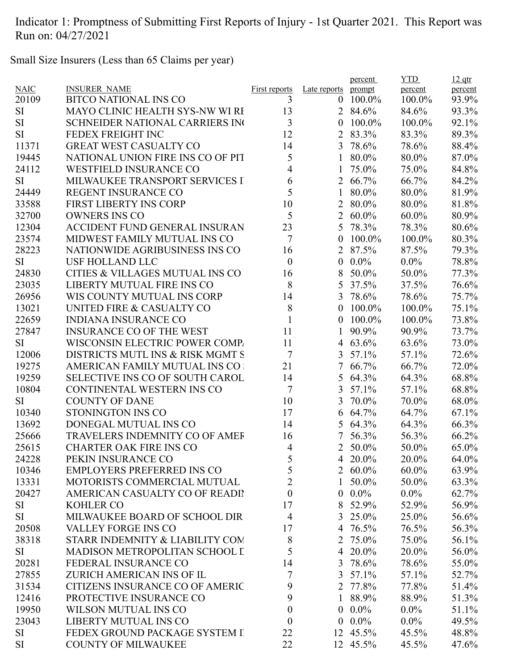Small Size Insurers (Less than 65 Claims per year)

|             |                                            |                      |                  | percent       | <b>YTD</b> | $12$ qtr |
|-------------|--------------------------------------------|----------------------|------------------|---------------|------------|----------|
| <b>NAIC</b> | <b>INSURER NAME</b>                        | <b>First reports</b> | Late reports     | prompt        | percent    | percent  |
| 20109       | <b>BITCO NATIONAL INS CO</b>               | 3                    | $\theta$         | 100.0%        | 100.0%     | 93.9%    |
| SI          | <b>MAYO CLINIC HEALTH SYS-NW WI RI</b>     | 13                   |                  | 2 84.6%       | 84.6%      | 93.3%    |
| <b>SI</b>   | <b>SCHNEIDER NATIONAL CARRIERS INC</b>     | $\overline{3}$       | 0                | 100.0%        | 100.0%     | 92.1%    |
| <b>SI</b>   | FEDEX FREIGHT INC                          | 12                   | $\overline{2}$   | 83.3%         | 83.3%      | 89.3%    |
| 11371       | <b>GREAT WEST CASUALTY CO</b>              | 14                   | $\overline{3}$   | 78.6%         | 78.6%      | 88.4%    |
| 19445       | NATIONAL UNION FIRE INS CO OF PIT          | 5                    | 1                | 80.0%         | 80.0%      | 87.0%    |
| 24112       | <b>WESTFIELD INSURANCE CO</b>              | 4                    | 1                | 75.0%         | 75.0%      | 84.8%    |
| <b>SI</b>   | MILWAUKEE TRANSPORT SERVICES I             | 6                    |                  | 2 66.7%       | 66.7%      | 84.2%    |
| 24449       | <b>REGENT INSURANCE CO</b>                 | 5                    | 1                | 80.0%         | 80.0%      | 81.9%    |
| 33588       | <b>FIRST LIBERTY INS CORP</b>              | 10                   | $\overline{2}$   | 80.0%         | 80.0%      | 81.8%    |
| 32700       | <b>OWNERS INS CO</b>                       | 5                    | $\overline{2}$   | 60.0%         | $60.0\%$   | 80.9%    |
| 12304       | <b>ACCIDENT FUND GENERAL INSURAN</b>       | 23                   | 5                | 78.3%         | 78.3%      | 80.6%    |
| 23574       | MIDWEST FAMILY MUTUAL INS CO               | 7                    | 0                | 100.0%        | 100.0%     | 80.3%    |
| 28223       | NATIONWIDE AGRIBUSINESS INS CO             | 16                   | 2                | 87.5%         | 87.5%      | 79.3%    |
| <b>SI</b>   | <b>USF HOLLAND LLC</b>                     | $\boldsymbol{0}$     | $\overline{0}$   | $0.0\%$       | $0.0\%$    | 78.8%    |
| 24830       | <b>CITIES &amp; VILLAGES MUTUAL INS CO</b> | 16                   | 8                | 50.0%         | 50.0%      | 77.3%    |
| 23035       | LIBERTY MUTUAL FIRE INS CO                 | 8                    | 5                | 37.5%         | 37.5%      | 76.6%    |
| 26956       | WIS COUNTY MUTUAL INS CORP                 | 14                   | 3                | 78.6%         | 78.6%      | 75.7%    |
| 13021       | UNITED FIRE & CASUALTY CO                  | 8                    | $\boldsymbol{0}$ | 100.0%        | 100.0%     | 75.1%    |
| 22659       | <b>INDIANA INSURANCE CO</b>                | $\mathbf{1}$         | 0                | 100.0%        | 100.0%     | 73.8%    |
| 27847       | <b>INSURANCE CO OF THE WEST</b>            | 11                   | 1                | 90.9%         | 90.9%      | 73.7%    |
| <b>SI</b>   | WISCONSIN ELECTRIC POWER COMP.             | 11                   | 4                | 63.6%         | 63.6%      | 73.0%    |
| 12006       | DISTRICTS MUTL INS & RISK MGMT S           | 7                    | 3                | 57.1%         | 57.1%      | 72.6%    |
| 19275       | AMERICAN FAMILY MUTUAL INS CO              | 21                   | 7                | 66.7%         | 66.7%      | 72.0%    |
| 19259       | <b>SELECTIVE INS CO OF SOUTH CAROL</b>     | 14                   | 5                | 64.3%         | 64.3%      | 68.8%    |
| 10804       | CONTINENTAL WESTERN INS CO                 | 7                    | 3                | 57.1%         | 57.1%      | 68.8%    |
| SI          | <b>COUNTY OF DANE</b>                      | 10                   | 3                | 70.0%         | 70.0%      | 68.0%    |
| 10340       | STONINGTON INS CO                          | 17                   | 6                | 64.7%         | 64.7%      | 67.1%    |
| 13692       | DONEGAL MUTUAL INS CO                      | 14                   | 5                | 64.3%         | 64.3%      | 66.3%    |
| 25666       | <b>TRAVELERS INDEMNITY CO OF AMEF</b>      | 16                   | 7                | 56.3%         | 56.3%      | 66.2%    |
| 25615       | <b>CHARTER OAK FIRE INS CO</b>             | 4                    |                  | 2 50.0%       | 50.0%      | 65.0%    |
| 24228       | PEKIN INSURANCE CO                         | 5                    |                  | 4 20.0%       | 20.0%      | 64.0%    |
| 10346       | <b>EMPLOYERS PREFERRED INS CO</b>          | 5                    |                  | 2 60.0%       | $60.0\%$   | 63.9%    |
| 13331       | MOTORISTS COMMERCIAL MUTUAL                | $\overline{2}$       | 1                | 50.0%         | 50.0%      | 63.3%    |
| 20427       | AMERICAN CASUALTY CO OF READII             | $\boldsymbol{0}$     |                  | $0.0\%$       | $0.0\%$    | 62.7%    |
| SI          | <b>KOHLER CO</b>                           | 17                   |                  | 8 52.9%       | 52.9%      | 56.9%    |
| SI          | MILWAUKEE BOARD OF SCHOOL DIR              | $\overline{4}$       |                  | 3 25.0%       | 25.0%      | 56.6%    |
| 20508       | VALLEY FORGE INS CO                        | 17                   |                  | 4 76.5%       | 76.5%      | 56.3%    |
| 38318       | STARR INDEMNITY & LIABILITY COM            | 8                    |                  | 2 75.0%       | 75.0%      | 56.1%    |
| SI          | MADISON METROPOLITAN SCHOOL I              | 5                    |                  | 4 20.0%       | 20.0%      | 56.0%    |
| 20281       | FEDERAL INSURANCE CO                       | 14                   |                  | 3 78.6%       | 78.6%      | 55.0%    |
| 27855       | ZURICH AMERICAN INS OF IL                  | 7                    |                  | $3\;\;57.1\%$ | 57.1%      | 52.7%    |
| 31534       | CITIZENS INSURANCE CO OF AMERIC            | 9                    |                  | 2 77.8%       | 77.8%      | 51.4%    |
| 12416       | PROTECTIVE INSURANCE CO                    | 9                    | 1                | 88.9%         | 88.9%      | 51.3%    |
| 19950       | WILSON MUTUAL INS CO                       | $\boldsymbol{0}$     | $\overline{0}$   | $0.0\%$       | $0.0\%$    | 51.1%    |
| 23043       | LIBERTY MUTUAL INS CO                      | $\boldsymbol{0}$     | $\overline{0}$   | $0.0\%$       | $0.0\%$    | 49.5%    |
| SI          | FEDEX GROUND PACKAGE SYSTEM I              | 22                   |                  | 12 45.5%      | 45.5%      | 48.8%    |
| SI          | <b>COUNTY OF MILWAUKEE</b>                 | 22                   |                  | 12 45.5%      |            |          |
|             |                                            |                      |                  |               | 45.5%      | 47.6%    |